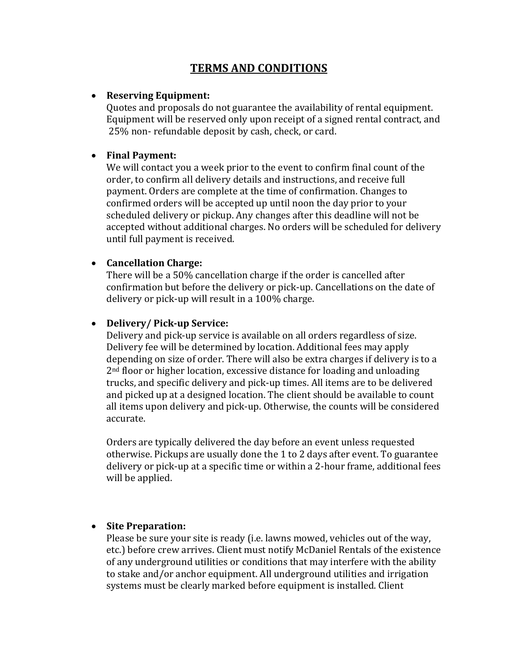# **TERMS AND CONDITIONS**

#### • **Reserving Equipment:**

Quotes and proposals do not guarantee the availability of rental equipment. Equipment will be reserved only upon receipt of a signed rental contract, and 25% non- refundable deposit by cash, check, or card.

#### • **Final Payment:**

We will contact you a week prior to the event to confirm final count of the order, to confirm all delivery details and instructions, and receive full payment. Orders are complete at the time of confirmation. Changes to confirmed orders will be accepted up until noon the day prior to your scheduled delivery or pickup. Any changes after this deadline will not be accepted without additional charges. No orders will be scheduled for delivery until full payment is received.

#### • **Cancellation Charge:**

There will be a 50% cancellation charge if the order is cancelled after confirmation but before the delivery or pick-up. Cancellations on the date of delivery or pick-up will result in a 100% charge.

#### • **Delivery/ Pick-up Service:**

Delivery and pick-up service is available on all orders regardless of size. Delivery fee will be determined by location. Additional fees may apply depending on size of order. There will also be extra charges if delivery is to a 2<sup>nd</sup> floor or higher location, excessive distance for loading and unloading trucks, and specific delivery and pick-up times. All items are to be delivered and picked up at a designed location. The client should be available to count all items upon delivery and pick-up. Otherwise, the counts will be considered accurate.

Orders are typically delivered the day before an event unless requested otherwise. Pickups are usually done the 1 to 2 days after event. To guarantee delivery or pick-up at a specific time or within a 2-hour frame, additional fees will be applied.

#### • **Site Preparation:**

Please be sure your site is ready (i.e. lawns mowed, vehicles out of the way, etc.) before crew arrives. Client must notify McDaniel Rentals of the existence of any underground utilities or conditions that may interfere with the ability to stake and/or anchor equipment. All underground utilities and irrigation systems must be clearly marked before equipment is installed. Client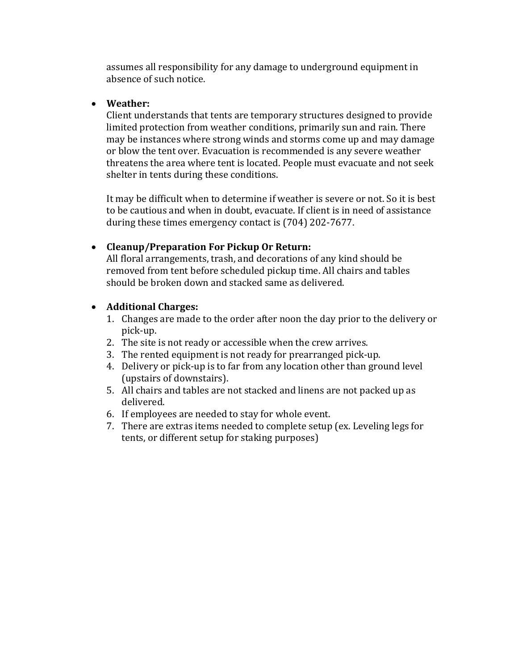assumes all responsibility for any damage to underground equipment in absence of such notice.

## • **Weather:**

Client understands that tents are temporary structures designed to provide limited protection from weather conditions, primarily sun and rain. There may be instances where strong winds and storms come up and may damage or blow the tent over. Evacuation is recommended is any severe weather threatens the area where tent is located. People must evacuate and not seek shelter in tents during these conditions.

It may be difficult when to determine if weather is severe or not. So it is best to be cautious and when in doubt, evacuate. If client is in need of assistance during these times emergency contact is (704) 202-7677.

# • **Cleanup/Preparation For Pickup Or Return:**

All floral arrangements, trash, and decorations of any kind should be removed from tent before scheduled pickup time. All chairs and tables should be broken down and stacked same as delivered.

## • **Additional Charges:**

- 1. Changes are made to the order after noon the day prior to the delivery or pick-up.
- 2. The site is not ready or accessible when the crew arrives.
- 3. The rented equipment is not ready for prearranged pick-up.
- 4. Delivery or pick-up is to far from any location other than ground level (upstairs of downstairs).
- 5. All chairs and tables are not stacked and linens are not packed up as delivered.
- 6. If employees are needed to stay for whole event.
- 7. There are extras items needed to complete setup (ex. Leveling legs for tents, or different setup for staking purposes)